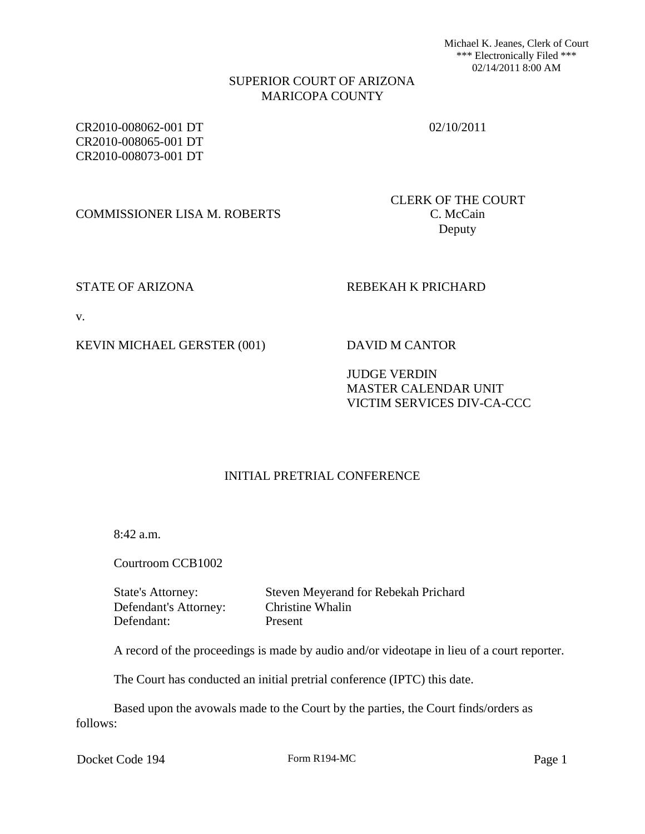Michael K. Jeanes, Clerk of Court \*\*\* Electronically Filed \*\*\* 02/14/2011 8:00 AM

### SUPERIOR COURT OF ARIZONA MARICOPA COUNTY

CR2010-008062-001 DT CR2010-008065-001 DT CR2010-008073-001 DT

02/10/2011

COMMISSIONER LISA M. ROBERTS C. McCain

CLERK OF THE COURT Deputy

# STATE OF ARIZONA REBEKAH K PRICHARD

v.

# KEVIN MICHAEL GERSTER (001) DAVID M CANTOR

# JUDGE VERDIN MASTER CALENDAR UNIT VICTIM SERVICES DIV-CA-CCC

# INITIAL PRETRIAL CONFERENCE

8:42 a.m.

Courtroom CCB1002

State's Attorney: Steven Meyerand for Rebekah Prichard Defendant's Attorney: Christine Whalin Defendant: Present

A record of the proceedings is made by audio and/or videotape in lieu of a court reporter.

The Court has conducted an initial pretrial conference (IPTC) this date.

Based upon the avowals made to the Court by the parties, the Court finds/orders as follows:

Docket Code 194 Form R194-MC Page 1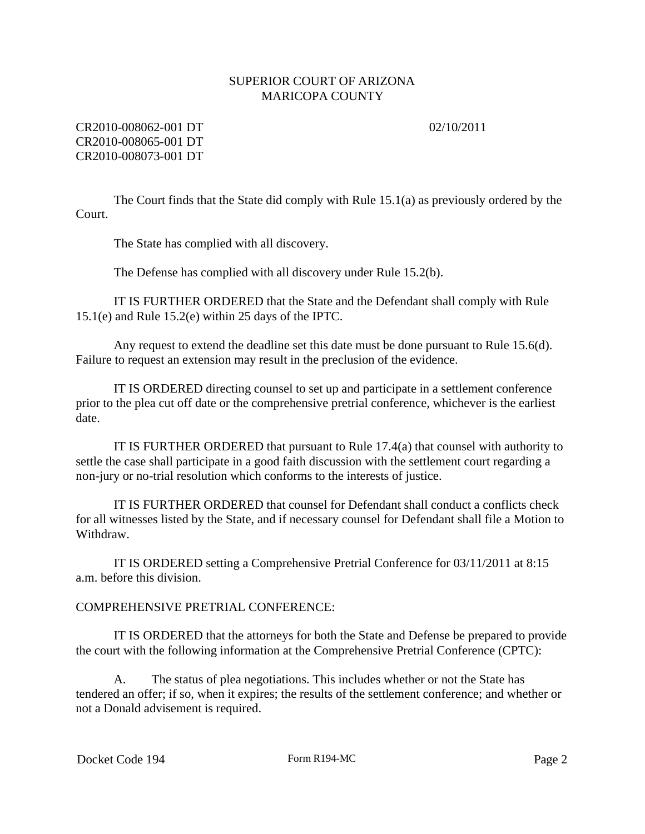02/10/2011

# CR2010-008062-001 DT CR2010-008065-001 DT CR2010-008073-001 DT

The Court finds that the State did comply with Rule 15.1(a) as previously ordered by the Court.

The State has complied with all discovery.

The Defense has complied with all discovery under Rule 15.2(b).

IT IS FURTHER ORDERED that the State and the Defendant shall comply with Rule 15.1(e) and Rule 15.2(e) within 25 days of the IPTC.

Any request to extend the deadline set this date must be done pursuant to Rule 15.6(d). Failure to request an extension may result in the preclusion of the evidence.

IT IS ORDERED directing counsel to set up and participate in a settlement conference prior to the plea cut off date or the comprehensive pretrial conference, whichever is the earliest date.

IT IS FURTHER ORDERED that pursuant to Rule 17.4(a) that counsel with authority to settle the case shall participate in a good faith discussion with the settlement court regarding a non-jury or no-trial resolution which conforms to the interests of justice.

IT IS FURTHER ORDERED that counsel for Defendant shall conduct a conflicts check for all witnesses listed by the State, and if necessary counsel for Defendant shall file a Motion to Withdraw.

IT IS ORDERED setting a Comprehensive Pretrial Conference for 03/11/2011 at 8:15 a.m. before this division.

# COMPREHENSIVE PRETRIAL CONFERENCE:

IT IS ORDERED that the attorneys for both the State and Defense be prepared to provide the court with the following information at the Comprehensive Pretrial Conference (CPTC):

A. The status of plea negotiations. This includes whether or not the State has tendered an offer; if so, when it expires; the results of the settlement conference; and whether or not a Donald advisement is required.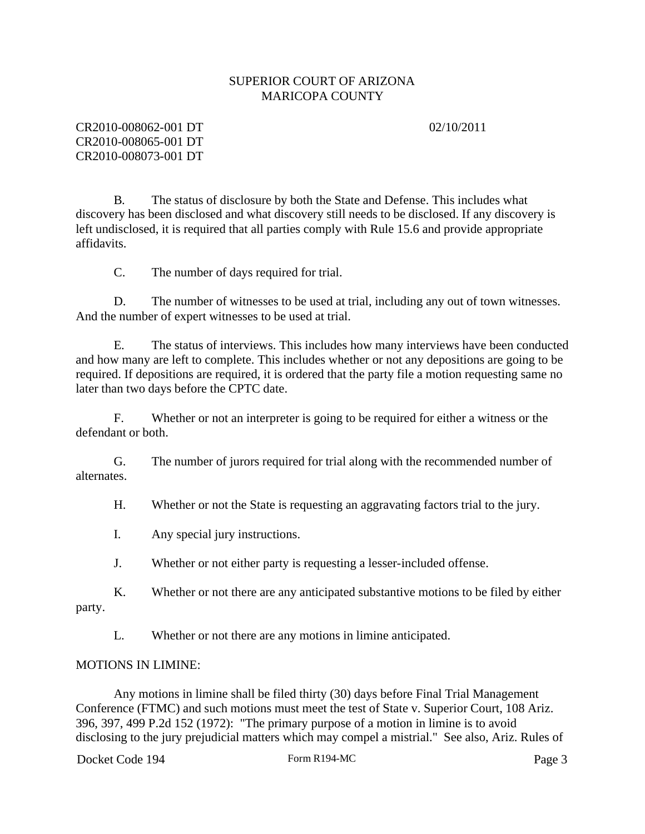02/10/2011

# CR2010-008062-001 DT CR2010-008065-001 DT CR2010-008073-001 DT

B. The status of disclosure by both the State and Defense. This includes what discovery has been disclosed and what discovery still needs to be disclosed. If any discovery is left undisclosed, it is required that all parties comply with Rule 15.6 and provide appropriate affidavits.

C. The number of days required for trial.

D. The number of witnesses to be used at trial, including any out of town witnesses. And the number of expert witnesses to be used at trial.

E. The status of interviews. This includes how many interviews have been conducted and how many are left to complete. This includes whether or not any depositions are going to be required. If depositions are required, it is ordered that the party file a motion requesting same no later than two days before the CPTC date.

F. Whether or not an interpreter is going to be required for either a witness or the defendant or both.

G. The number of jurors required for trial along with the recommended number of alternates.

H. Whether or not the State is requesting an aggravating factors trial to the jury.

I. Any special jury instructions.

J. Whether or not either party is requesting a lesser-included offense.

K. Whether or not there are any anticipated substantive motions to be filed by either party.

L. Whether or not there are any motions in limine anticipated.

#### MOTIONS IN LIMINE:

Any motions in limine shall be filed thirty (30) days before Final Trial Management Conference (FTMC) and such motions must meet the test of State v. Superior Court, 108 Ariz. 396, 397, 499 P.2d 152 (1972): "The primary purpose of a motion in limine is to avoid disclosing to the jury prejudicial matters which may compel a mistrial." See also, Ariz. Rules of

Docket Code 194 Form R194-MC Page 3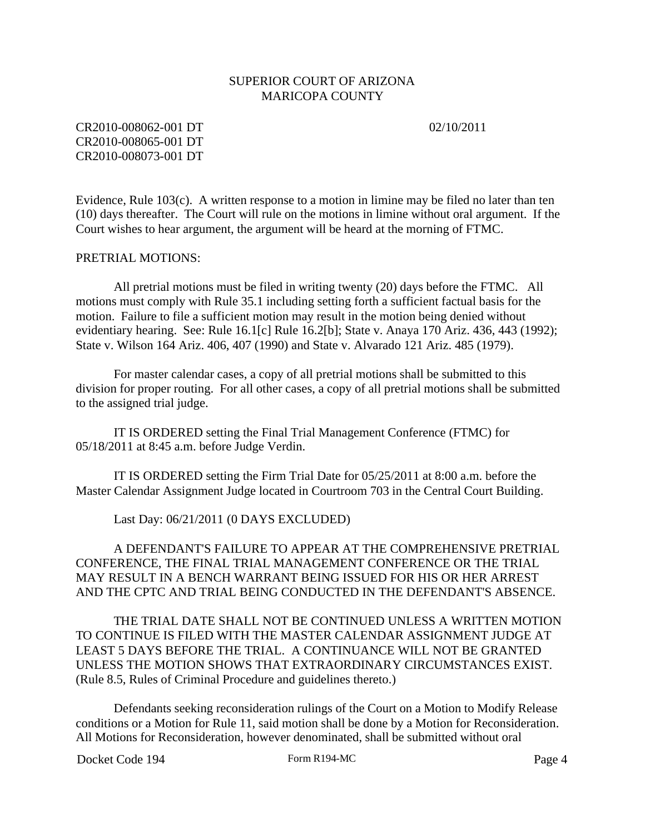02/10/2011

CR2010-008062-001 DT CR2010-008065-001 DT CR2010-008073-001 DT

Evidence, Rule  $103(c)$ . A written response to a motion in limine may be filed no later than ten (10) days thereafter. The Court will rule on the motions in limine without oral argument. If the Court wishes to hear argument, the argument will be heard at the morning of FTMC.

#### PRETRIAL MOTIONS:

All pretrial motions must be filed in writing twenty (20) days before the FTMC. All motions must comply with Rule 35.1 including setting forth a sufficient factual basis for the motion. Failure to file a sufficient motion may result in the motion being denied without evidentiary hearing. See: Rule 16.1[c] Rule 16.2[b]; State v. Anaya 170 Ariz. 436, 443 (1992); State v. Wilson 164 Ariz. 406, 407 (1990) and State v. Alvarado 121 Ariz. 485 (1979).

For master calendar cases, a copy of all pretrial motions shall be submitted to this division for proper routing. For all other cases, a copy of all pretrial motions shall be submitted to the assigned trial judge.

IT IS ORDERED setting the Final Trial Management Conference (FTMC) for 05/18/2011 at 8:45 a.m. before Judge Verdin.

IT IS ORDERED setting the Firm Trial Date for 05/25/2011 at 8:00 a.m. before the Master Calendar Assignment Judge located in Courtroom 703 in the Central Court Building.

Last Day: 06/21/2011 (0 DAYS EXCLUDED)

A DEFENDANT'S FAILURE TO APPEAR AT THE COMPREHENSIVE PRETRIAL CONFERENCE, THE FINAL TRIAL MANAGEMENT CONFERENCE OR THE TRIAL MAY RESULT IN A BENCH WARRANT BEING ISSUED FOR HIS OR HER ARREST AND THE CPTC AND TRIAL BEING CONDUCTED IN THE DEFENDANT'S ABSENCE.

THE TRIAL DATE SHALL NOT BE CONTINUED UNLESS A WRITTEN MOTION TO CONTINUE IS FILED WITH THE MASTER CALENDAR ASSIGNMENT JUDGE AT LEAST 5 DAYS BEFORE THE TRIAL. A CONTINUANCE WILL NOT BE GRANTED UNLESS THE MOTION SHOWS THAT EXTRAORDINARY CIRCUMSTANCES EXIST. (Rule 8.5, Rules of Criminal Procedure and guidelines thereto.)

Defendants seeking reconsideration rulings of the Court on a Motion to Modify Release conditions or a Motion for Rule 11, said motion shall be done by a Motion for Reconsideration. All Motions for Reconsideration, however denominated, shall be submitted without oral

Docket Code 194 Form R194-MC Page 4